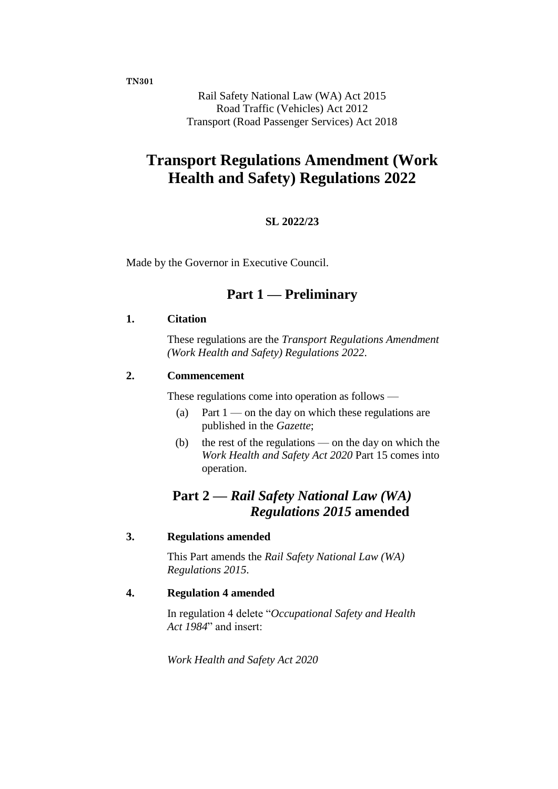**TN301**

Rail Safety National Law (WA) Act 2015 Road Traffic (Vehicles) Act 2012 Transport (Road Passenger Services) Act 2018

# **Transport Regulations Amendment (Work Health and Safety) Regulations 2022**

### **SL 2022/23**

Made by the Governor in Executive Council.

### **Part 1 — Preliminary**

#### **1. Citation**

These regulations are the *Transport Regulations Amendment (Work Health and Safety) Regulations 2022*.

### **2. Commencement**

These regulations come into operation as follows —

- (a) Part  $1$  on the day on which these regulations are published in the *Gazette*;
- (b) the rest of the regulations on the day on which the *Work Health and Safety Act 2020* Part 15 comes into operation.

### **Part 2 —** *Rail Safety National Law (WA) Regulations 2015* **amended**

#### **3. Regulations amended**

This Part amends the *Rail Safety National Law (WA) Regulations 2015*.

#### **4. Regulation 4 amended**

In regulation 4 delete "*Occupational Safety and Health Act 1984*" and insert:

*Work Health and Safety Act 2020*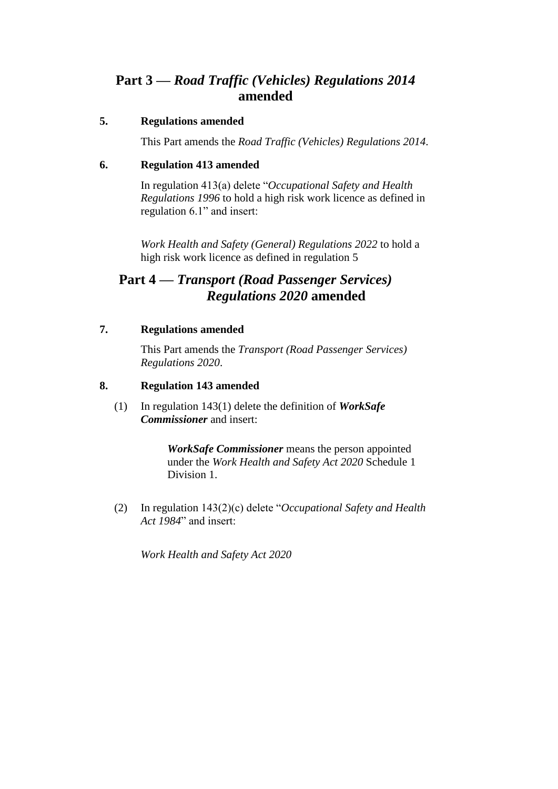## **Part 3 —** *Road Traffic (Vehicles) Regulations 2014* **amended**

### **5. Regulations amended**

This Part amends the *Road Traffic (Vehicles) Regulations 2014*.

### **6. Regulation 413 amended**

In regulation 413(a) delete "*Occupational Safety and Health Regulations 1996* to hold a high risk work licence as defined in regulation 6.1" and insert:

*Work Health and Safety (General) Regulations 2022* to hold a high risk work licence as defined in regulation 5

## **Part 4 —** *Transport (Road Passenger Services) Regulations 2020* **amended**

### **7. Regulations amended**

This Part amends the *Transport (Road Passenger Services) Regulations 2020*.

### **8. Regulation 143 amended**

(1) In regulation 143(1) delete the definition of *WorkSafe Commissioner* and insert:

> *WorkSafe Commissioner* means the person appointed under the *Work Health and Safety Act 2020* Schedule 1 Division 1.

(2) In regulation 143(2)(c) delete "*Occupational Safety and Health Act 1984*" and insert:

*Work Health and Safety Act 2020*